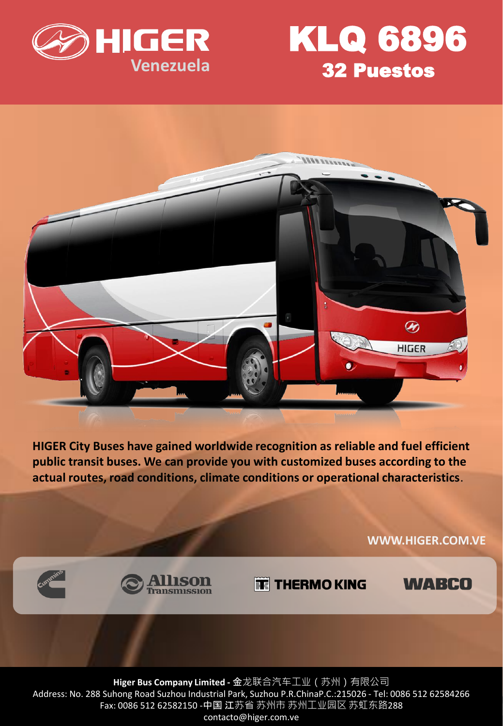

## KLQ 6896 32 Puestos



**HIGER City Buses have gained worldwide recognition as reliable and fuel efficient public transit buses. We can provide you with customized buses according to the actual routes, road conditions, climate conditions or operational characteristics**.

**WWW.HIGER.COM.VE**



**TE THERMO KING** 

**WABCO** 

**Higer Bus Company Limited -** 金龙联合汽车工业(苏州)有限公司 Address: No. 288 Suhong Road Suzhou Industrial Park, Suzhou P.R.ChinaP.C.:215026 - Tel: 0086 512 62584266 Fax: 0086 512 62582150 -中国 江苏省 苏州市 苏州工业园区 苏虹东路288 contacto@higer.com.ve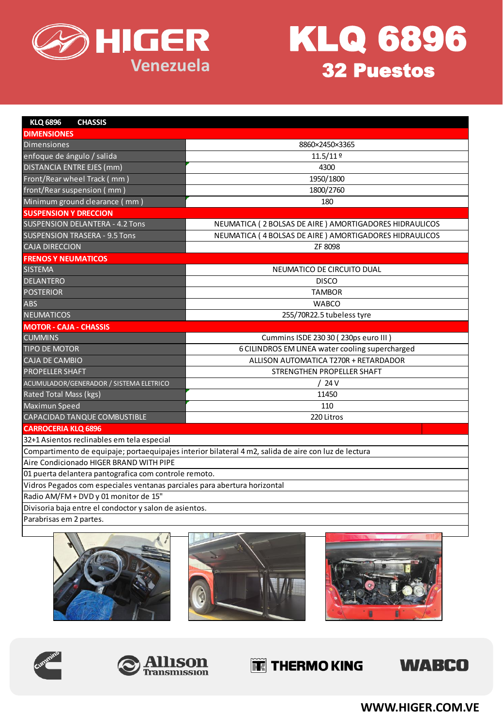



| <b>KLQ 6896</b><br><b>CHASSIS</b>                                                                    |                                                        |
|------------------------------------------------------------------------------------------------------|--------------------------------------------------------|
| <b>DIMENSIONES</b>                                                                                   |                                                        |
| <b>Dimensiones</b>                                                                                   | 8860×2450×3365                                         |
| enfoque de ángulo / salida                                                                           | $11.5/11$ º                                            |
| <b>DISTANCIA ENTRE EJES (mm)</b>                                                                     | 4300                                                   |
| Front/Rear wheel Track (mm)                                                                          | 1950/1800                                              |
| front/Rear suspension (mm)                                                                           | 1800/2760                                              |
| Minimum ground clearance (mm)                                                                        | 180                                                    |
| <b>SUSPENSION Y DRECCION</b>                                                                         |                                                        |
| <b>SUSPENSION DELANTERA - 4.2 Tons</b>                                                               | NEUMATICA (2 BOLSAS DE AIRE) AMORTIGADORES HIDRAULICOS |
| <b>SUSPENSION TRASERA - 9.5 Tons</b>                                                                 | NEUMATICA (4 BOLSAS DE AIRE) AMORTIGADORES HIDRAULICOS |
| <b>CAJA DIRECCION</b>                                                                                | ZF 8098                                                |
| <b>FRENOS Y NEUMATICOS</b>                                                                           |                                                        |
| <b>SISTEMA</b>                                                                                       | NEUMATICO DE CIRCUITO DUAL                             |
| <b>DELANTERO</b>                                                                                     | <b>DISCO</b>                                           |
| <b>POSTERIOR</b>                                                                                     | <b>TAMBOR</b>                                          |
| <b>ABS</b>                                                                                           | <b>WABCO</b>                                           |
| <b>NEUMATICOS</b>                                                                                    | 255/70R22.5 tubeless tyre                              |
| <b>MOTOR - CAJA - CHASSIS</b>                                                                        |                                                        |
| <b>CUMMINS</b>                                                                                       | Cummins ISDE 230 30 (230ps euro III)                   |
| <b>TIPO DE MOTOR</b>                                                                                 | 6 CILINDROS EM LINEA water cooling supercharged        |
| <b>CAJA DE CAMBIO</b>                                                                                | ALLISON AUTOMATICA T270R + RETARDADOR                  |
| <b>PROPELLER SHAFT</b>                                                                               | STRENGTHEN PROPELLER SHAFT                             |
| ACUMULADOR/GENERADOR / SISTEMA ELETRICO                                                              | ′24 V                                                  |
| Rated Total Mass (kgs)                                                                               | 11450                                                  |
| Maximun Speed                                                                                        | 110                                                    |
| CAPACIDAD TANQUE COMBUSTIBLE                                                                         | 220 Litros                                             |
| <b>CARROCERIA KLQ 6896</b>                                                                           |                                                        |
| 32+1 Asientos reclinables em tela especial                                                           |                                                        |
| Compartimento de equipaje; portaequipajes interior bilateral 4 m2, salida de aire con luz de lectura |                                                        |
| Aire Condicionado HIGER BRAND WITH PIPE                                                              |                                                        |
| 01 puerta delantera pantografica com controle remoto.                                                |                                                        |
| Vidros Pegados com especiales ventanas parciales para abertura horizontal                            |                                                        |
| Radio AM/FM + DVD y 01 monitor de 15"                                                                |                                                        |
| Divisoria baja entre el condoctor y salon de asientos.                                               |                                                        |
| Parabrisas em 2 partes.                                                                              |                                                        |
|                                                                                                      |                                                        |











## THERMO KING



**WWW.HIGER.COM.VE**